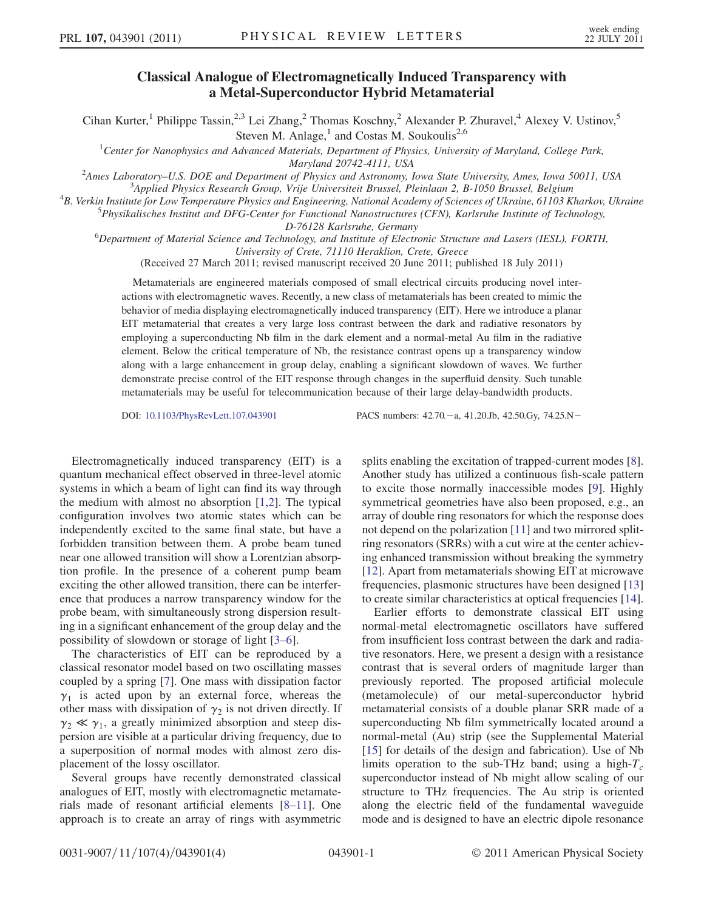## Classical Analogue of Electromagnetically Induced Transparency with a Metal-Superconductor Hybrid Metamaterial

Cihan Kurter,<sup>1</sup> Philippe Tassin,<sup>2,3</sup> Lei Zhang,<sup>2</sup> Thomas Koschny,<sup>2</sup> Alexander P. Zhuravel,<sup>4</sup> Alexey V. Ustinov,<sup>5</sup> Steven M. Anlage, $^1$  and Costas M. Soukoulis<sup>2,6</sup>

<sup>1</sup>Center for Nanophysics and Advanced Materials, Department of Physics, University of Maryland, College Park, Maryland 20742-4111, USA<br><sup>2</sup>Ames Laboratory, U.S. DOE and Department of Physics and Astronomy

Ames Laboratory–U.S. DOE and Department of Physics and Astronomy, Iowa State University, Ames, Iowa 50011, USA<br><sup>3</sup> Applied Physics Research Group, Vrije Universiteit Brussel, Pleinlagn 2, B. 1050 Brussel, Belgium Applied Physics Research Group, Vrije Universiteit Brussel, Pleinlaan 2, B-1050 Brussel, Belgium <sup>4</sup>

 ${}^{4}B$ . Verkin Institute for Low Temperature Physics and Engineering, National Academy of Sciences of Ukraine, 61103 Kharkov, Ukraine

 ${}^{5}P$ hysikalisches Institut and DFG-Center for Functional Nanostructures (CFN), Karlsruhe Institute of Technology,

D-76128 Karlsruhe, Germany<br><sup>6</sup>Department of Material Science and Technology, and Institute of Electronic Structure and Lasers (IESL), FORTH,

University of Crete, 71110 Heraklion, Crete, Greece (Received 27 March 2011; revised manuscript received 20 June 2011; published 18 July 2011)

Metamaterials are engineered materials composed of small electrical circuits producing novel interactions with electromagnetic waves. Recently, a new class of metamaterials has been created to mimic the behavior of media displaying electromagnetically induced transparency (EIT). Here we introduce a planar EIT metamaterial that creates a very large loss contrast between the dark and radiative resonators by employing a superconducting Nb film in the dark element and a normal-metal Au film in the radiative element. Below the critical temperature of Nb, the resistance contrast opens up a transparency window along with a large enhancement in group delay, enabling a significant slowdown of waves. We further demonstrate precise control of the EIT response through changes in the superfluid density. Such tunable metamaterials may be useful for telecommunication because of their large delay-bandwidth products.

DOI: [10.1103/PhysRevLett.107.043901](http://dx.doi.org/10.1103/PhysRevLett.107.043901) PACS numbers: 42.70. - a, 41.20.Jb, 42.50.Gy, 74.25.N -

Electromagnetically induced transparency (EIT) is a quantum mechanical effect observed in three-level atomic systems in which a beam of light can find its way through the medium with almost no absorption [[1,](#page-3-0)[2\]](#page-3-1). The typical configuration involves two atomic states which can be independently excited to the same final state, but have a forbidden transition between them. A probe beam tuned near one allowed transition will show a Lorentzian absorption profile. In the presence of a coherent pump beam exciting the other allowed transition, there can be interference that produces a narrow transparency window for the probe beam, with simultaneously strong dispersion resulting in a significant enhancement of the group delay and the possibility of slowdown or storage of light [\[3–](#page-3-2)[6](#page-3-3)].

The characteristics of EIT can be reproduced by a classical resonator model based on two oscillating masses coupled by a spring [[7](#page-3-4)]. One mass with dissipation factor  $\gamma_1$  is acted upon by an external force, whereas the other mass with dissipation of  $\gamma_2$  is not driven directly. If  $\gamma_2 \ll \gamma_1$ , a greatly minimized absorption and steep dispersion are visible at a particular driving frequency, due to a superposition of normal modes with almost zero displacement of the lossy oscillator.

Several groups have recently demonstrated classical analogues of EIT, mostly with electromagnetic metamaterials made of resonant artificial elements [[8](#page-3-5)[–11\]](#page-3-6). One approach is to create an array of rings with asymmetric splits enabling the excitation of trapped-current modes [[8\]](#page-3-5). Another study has utilized a continuous fish-scale pattern to excite those normally inaccessible modes [\[9\]](#page-3-7). Highly symmetrical geometries have also been proposed, e.g., an array of double ring resonators for which the response does not depend on the polarization [[11\]](#page-3-6) and two mirrored splitring resonators (SRRs) with a cut wire at the center achieving enhanced transmission without breaking the symmetry [\[12\]](#page-3-8). Apart from metamaterials showing EIT at microwave frequencies, plasmonic structures have been designed [\[13\]](#page-3-9) to create similar characteristics at optical frequencies [[14\]](#page-3-10).

Earlier efforts to demonstrate classical EIT using normal-metal electromagnetic oscillators have suffered from insufficient loss contrast between the dark and radiative resonators. Here, we present a design with a resistance contrast that is several orders of magnitude larger than previously reported. The proposed artificial molecule (metamolecule) of our metal-superconductor hybrid metamaterial consists of a double planar SRR made of a superconducting Nb film symmetrically located around a normal-metal (Au) strip (see the Supplemental Material [\[15\]](#page-3-11) for details of the design and fabrication). Use of Nb limits operation to the sub-THz band; using a high- $T_c$ superconductor instead of Nb might allow scaling of our structure to THz frequencies. The Au strip is oriented along the electric field of the fundamental waveguide mode and is designed to have an electric dipole resonance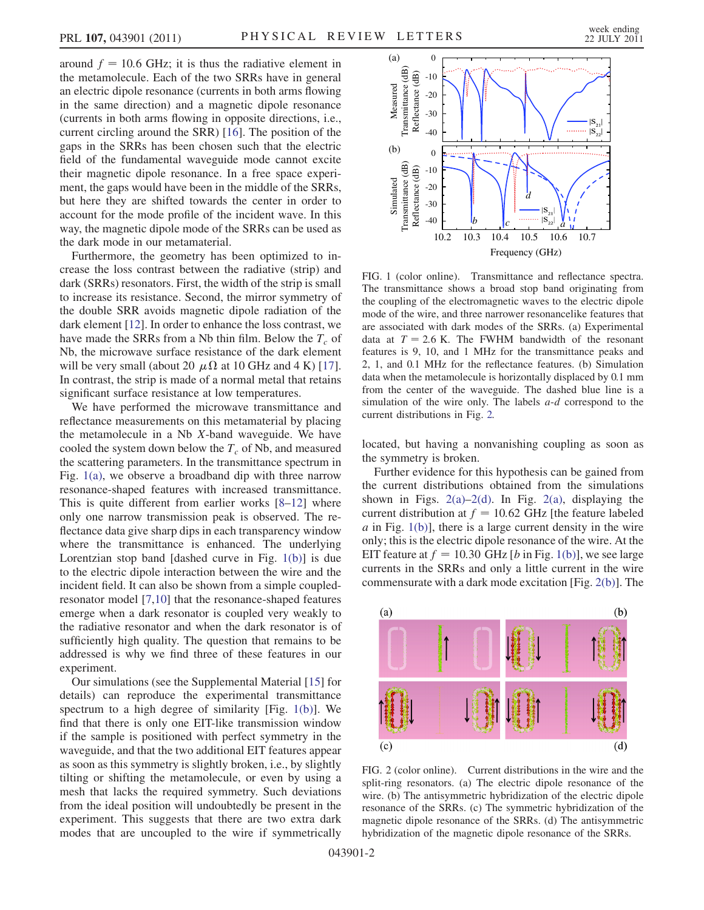around  $f = 10.6$  GHz; it is thus the radiative element in the metamolecule. Each of the two SRRs have in general an electric dipole resonance (currents in both arms flowing in the same direction) and a magnetic dipole resonance (currents in both arms flowing in opposite directions, i.e., current circling around the SRR) [\[16\]](#page-3-12). The position of the gaps in the SRRs has been chosen such that the electric field of the fundamental waveguide mode cannot excite their magnetic dipole resonance. In a free space experiment, the gaps would have been in the middle of the SRRs, but here they are shifted towards the center in order to account for the mode profile of the incident wave. In this way, the magnetic dipole mode of the SRRs can be used as the dark mode in our metamaterial.

Furthermore, the geometry has been optimized to increase the loss contrast between the radiative (strip) and dark (SRRs) resonators. First, the width of the strip is small to increase its resistance. Second, the mirror symmetry of the double SRR avoids magnetic dipole radiation of the dark element [[12](#page-3-8)]. In order to enhance the loss contrast, we have made the SRRs from a Nb thin film. Below the  $T_c$  of Nb, the microwave surface resistance of the dark element will be very small (about 20  $\mu \Omega$  at 10 GHz and 4 K) [[17\]](#page-3-13). In contrast, the strip is made of a normal metal that retains significant surface resistance at low temperatures.

We have performed the microwave transmittance and reflectance measurements on this metamaterial by placing the metamolecule in a Nb X-band waveguide. We have cooled the system down below the  $T_c$  of Nb, and measured the scattering parameters. In the transmittance spectrum in Fig. [1\(a\)](#page-1-0), we observe a broadband dip with three narrow resonance-shaped features with increased transmittance. This is quite different from earlier works [[8–](#page-3-5)[12](#page-3-8)] where only one narrow transmission peak is observed. The reflectance data give sharp dips in each transparency window where the transmittance is enhanced. The underlying Lorentzian stop band [dashed curve in Fig. [1\(b\)\]](#page-1-0) is due to the electric dipole interaction between the wire and the incident field. It can also be shown from a simple coupledresonator model [[7,](#page-3-4)[10](#page-3-14)] that the resonance-shaped features emerge when a dark resonator is coupled very weakly to the radiative resonator and when the dark resonator is of sufficiently high quality. The question that remains to be addressed is why we find three of these features in our experiment.

Our simulations (see the Supplemental Material [\[15\]](#page-3-11) for details) can reproduce the experimental transmittance spectrum to a high degree of similarity [Fig. [1\(b\)\]](#page-1-0). We find that there is only one EIT-like transmission window if the sample is positioned with perfect symmetry in the waveguide, and that the two additional EIT features appear as soon as this symmetry is slightly broken, i.e., by slightly tilting or shifting the metamolecule, or even by using a mesh that lacks the required symmetry. Such deviations from the ideal position will undoubtedly be present in the experiment. This suggests that there are two extra dark modes that are uncoupled to the wire if symmetrically



<span id="page-1-0"></span>FIG. 1 (color online). Transmittance and reflectance spectra. The transmittance shows a broad stop band originating from the coupling of the electromagnetic waves to the electric dipole mode of the wire, and three narrower resonancelike features that are associated with dark modes of the SRRs. (a) Experimental data at  $T = 2.6$  K. The FWHM bandwidth of the resonant features is 9, 10, and 1 MHz for the transmittance peaks and 2, 1, and 0.1 MHz for the reflectance features. (b) Simulation data when the metamolecule is horizontally displaced by 0.1 mm from the center of the waveguide. The dashed blue line is a simulation of the wire only. The labels  $a-d$  correspond to the current distributions in Fig. [2.](#page-1-2)

located, but having a nonvanishing coupling as soon as the symmetry is broken.

Further evidence for this hypothesis can be gained from the current distributions obtained from the simulations shown in Figs.  $2(a)-2(d)$  $2(a)-2(d)$ . In Fig.  $2(a)$ , displaying the current distribution at  $f = 10.62$  GHz [the feature labeled  $\alpha$  in Fig. [1\(b\)](#page-1-0)], there is a large current density in the wire only; this is the electric dipole resonance of the wire. At the EIT feature at  $f = 10.30$  GHz [b in Fig. [1\(b\)](#page-1-0)], we see large currents in the SRRs and only a little current in the wire commensurate with a dark mode excitation [Fig. [2\(b\)](#page-1-1)]. The

<span id="page-1-2"></span>

<span id="page-1-1"></span>FIG. 2 (color online). Current distributions in the wire and the split-ring resonators. (a) The electric dipole resonance of the wire. (b) The antisymmetric hybridization of the electric dipole resonance of the SRRs. (c) The symmetric hybridization of the magnetic dipole resonance of the SRRs. (d) The antisymmetric hybridization of the magnetic dipole resonance of the SRRs.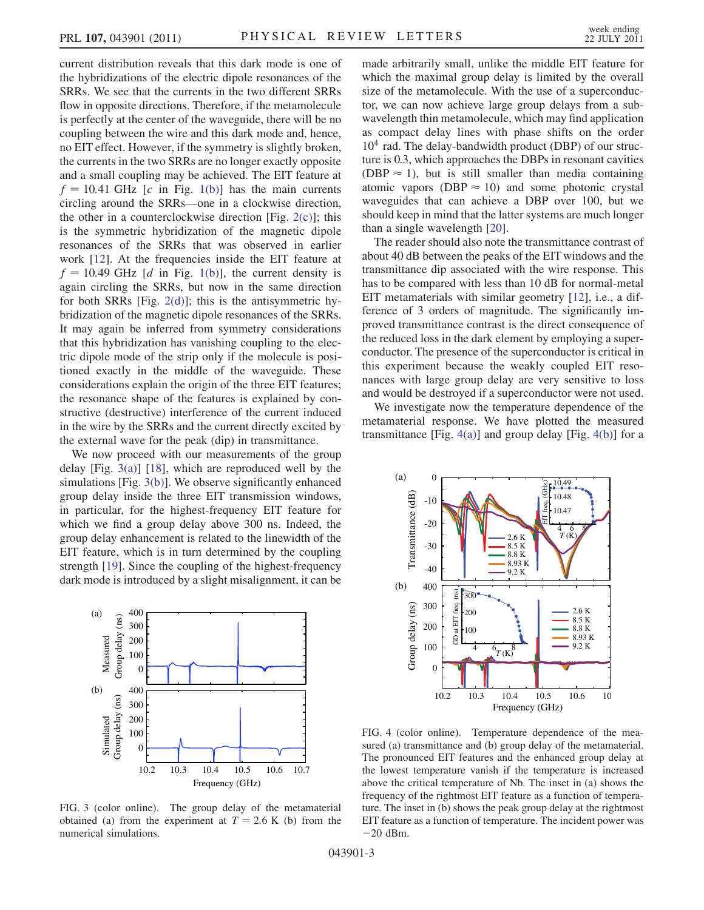current distribution reveals that this dark mode is one of the hybridizations of the electric dipole resonances of the SRRs. We see that the currents in the two different SRRs flow in opposite directions. Therefore, if the metamolecule is perfectly at the center of the waveguide, there will be no coupling between the wire and this dark mode and, hence, no EIT effect. However, if the symmetry is slightly broken, the currents in the two SRRs are no longer exactly opposite and a small coupling may be achieved. The EIT feature at  $f = 10.41$  GHz [c in Fig. [1\(b\)\]](#page-1-0) has the main currents circling around the SRRs—one in a clockwise direction, the other in a counterclockwise direction [Fig.  $2(c)$ ]; this is the symmetric hybridization of the magnetic dipole resonances of the SRRs that was observed in earlier work [\[12\]](#page-3-8). At the frequencies inside the EIT feature at  $f = 10.49$  GHz [d in Fig. [1\(b\)\]](#page-1-0), the current density is again circling the SRRs, but now in the same direction for both SRRs [Fig. [2\(d\)\]](#page-1-1); this is the antisymmetric hybridization of the magnetic dipole resonances of the SRRs. It may again be inferred from symmetry considerations that this hybridization has vanishing coupling to the electric dipole mode of the strip only if the molecule is positioned exactly in the middle of the waveguide. These considerations explain the origin of the three EIT features; the resonance shape of the features is explained by constructive (destructive) interference of the current induced in the wire by the SRRs and the current directly excited by the external wave for the peak (dip) in transmittance.

We now proceed with our measurements of the group delay [Fig.  $3(a)$ ] [\[18\]](#page-3-15), which are reproduced well by the simulations [Fig. [3\(b\)\]](#page-2-0). We observe significantly enhanced group delay inside the three EIT transmission windows, in particular, for the highest-frequency EIT feature for which we find a group delay above 300 ns. Indeed, the group delay enhancement is related to the linewidth of the EIT feature, which is in turn determined by the coupling strength [\[19\]](#page-3-16). Since the coupling of the highest-frequency dark mode is introduced by a slight misalignment, it can be



<span id="page-2-0"></span>FIG. 3 (color online). The group delay of the metamaterial obtained (a) from the experiment at  $T = 2.6$  K (b) from the numerical simulations.

made arbitrarily small, unlike the middle EIT feature for which the maximal group delay is limited by the overall size of the metamolecule. With the use of a superconductor, we can now achieve large group delays from a subwavelength thin metamolecule, which may find application as compact delay lines with phase shifts on the order  $10<sup>4</sup>$  rad. The delay-bandwidth product (DBP) of our structure is 0.3, which approaches the DBPs in resonant cavities (DBP  $\approx$  1), but is still smaller than media containing atomic vapors (DBP  $\approx$  10) and some photonic crystal waveguides that can achieve a DBP over 100, but we should keep in mind that the latter systems are much longer than a single wavelength [\[20\]](#page-3-17).

The reader should also note the transmittance contrast of about 40 dB between the peaks of the EIT windows and the transmittance dip associated with the wire response. This has to be compared with less than 10 dB for normal-metal EIT metamaterials with similar geometry [\[12](#page-3-8)], i.e., a difference of 3 orders of magnitude. The significantly improved transmittance contrast is the direct consequence of the reduced loss in the dark element by employing a superconductor. The presence of the superconductor is critical in this experiment because the weakly coupled EIT resonances with large group delay are very sensitive to loss and would be destroyed if a superconductor were not used.

We investigate now the temperature dependence of the metamaterial response. We have plotted the measured transmittance [Fig.  $4(a)$ ] and group delay [Fig.  $4(b)$ ] for a



<span id="page-2-1"></span>FIG. 4 (color online). Temperature dependence of the measured (a) transmittance and (b) group delay of the metamaterial. The pronounced EIT features and the enhanced group delay at the lowest temperature vanish if the temperature is increased above the critical temperature of Nb. The inset in (a) shows the frequency of the rightmost EIT feature as a function of temperature. The inset in (b) shows the peak group delay at the rightmost EIT feature as a function of temperature. The incident power was  $-20$  dBm.